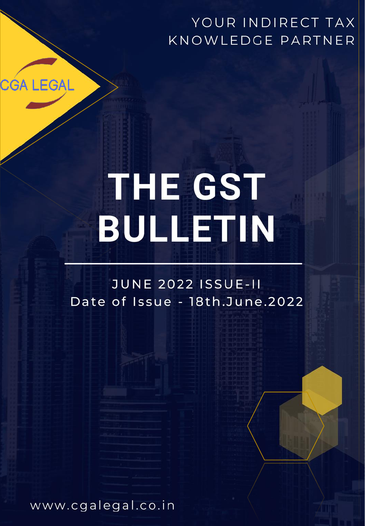# YOUR INDIRECT TAX KNOWLEDGE PARTNER

# **THE GST BULLETIN**

**JUNE 2022 ISSUE-II** Date of Issue - 18th.June.2022

www.cgalegal.co.in

**CGA LEGAL**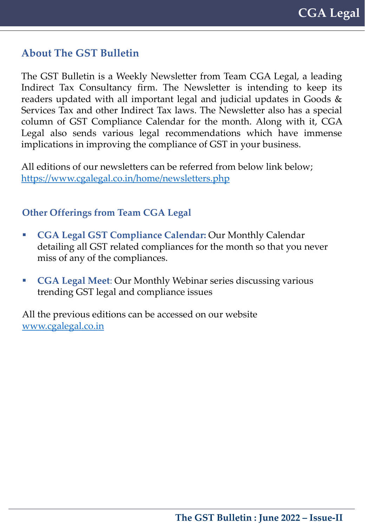## **About The GST Bulletin**

The GST Bulletin is a Weekly Newsletter from Team CGA Legal, a leading Indirect Tax Consultancy firm. The Newsletter is intending to keep its readers updated with all important legal and judicial updates in Goods & Services Tax and other Indirect Tax laws. The Newsletter also has a special column of GST Compliance Calendar for the month. Along with it, CGA Legal also sends various legal recommendations which have immense implications in improving the compliance of GST in your business.

All editions of our newsletters can be referred from below link below; <https://www.cgalegal.co.in/home/newsletters.php>

#### **Other Offerings from Team CGA Legal**

- **CGA Legal GST Compliance Calendar:** Our Monthly Calendar detailing all GST related compliances for the month so that you never miss of any of the compliances.
- **CGA Legal Meet**: Our Monthly Webinar series discussing various trending GST legal and compliance issues

All the previous editions can be accessed on our website [www.cgalegal.co.in](https://www.cgalegal.co.in/home/latest-article.php)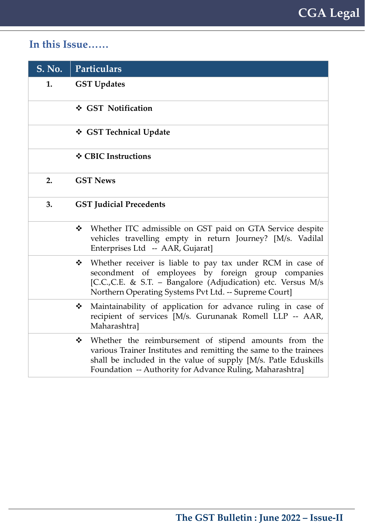# **In this Issue……**

|    | S. No. Particulars                                                                                                                                                                                                                                         |  |  |
|----|------------------------------------------------------------------------------------------------------------------------------------------------------------------------------------------------------------------------------------------------------------|--|--|
| 1. | <b>GST Updates</b>                                                                                                                                                                                                                                         |  |  |
|    | ❖ GST Notification                                                                                                                                                                                                                                         |  |  |
|    | ❖ GST Technical Update                                                                                                                                                                                                                                     |  |  |
|    | ❖ CBIC Instructions                                                                                                                                                                                                                                        |  |  |
| 2. | <b>GST News</b>                                                                                                                                                                                                                                            |  |  |
| 3. | <b>GST Judicial Precedents</b>                                                                                                                                                                                                                             |  |  |
|    | Whether ITC admissible on GST paid on GTA Service despite<br>❖<br>vehicles travelling empty in return Journey? [M/s. Vadilal<br>Enterprises Ltd -- AAR, Gujarat]                                                                                           |  |  |
|    | Whether receiver is liable to pay tax under RCM in case of<br>❖<br>secondment of employees by foreign group companies<br>[C.C.,C.E. & S.T. - Bangalore (Adjudication) etc. Versus M/s<br>Northern Operating Systems Pvt Ltd. -- Supreme Court]             |  |  |
|    | Maintainability of application for advance ruling in case of<br>❖<br>recipient of services [M/s. Gurunanak Romell LLP -- AAR,<br>Maharashtra]                                                                                                              |  |  |
|    | • Whether the reimbursement of stipend amounts from the<br>various Trainer Institutes and remitting the same to the trainees<br>shall be included in the value of supply [M/s. Patle Eduskills<br>Foundation -- Authority for Advance Ruling, Maharashtra] |  |  |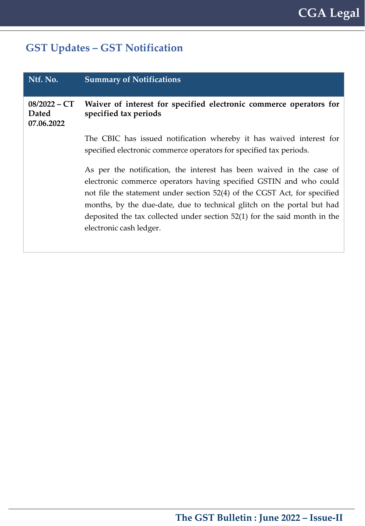# **GST Updates – GST Notification**

| Ntf. No.                                     | <b>Summary of Notifications</b>                                                                                                                                                                                                                                                                                                                                                                           |  |
|----------------------------------------------|-----------------------------------------------------------------------------------------------------------------------------------------------------------------------------------------------------------------------------------------------------------------------------------------------------------------------------------------------------------------------------------------------------------|--|
| $08/2022 - CT$<br><b>Dated</b><br>07.06.2022 | Waiver of interest for specified electronic commerce operators for<br>specified tax periods                                                                                                                                                                                                                                                                                                               |  |
|                                              | The CBIC has issued notification whereby it has waived interest for<br>specified electronic commerce operators for specified tax periods.                                                                                                                                                                                                                                                                 |  |
|                                              | As per the notification, the interest has been waived in the case of<br>electronic commerce operators having specified GSTIN and who could<br>not file the statement under section 52(4) of the CGST Act, for specified<br>months, by the due-date, due to technical glitch on the portal but had<br>deposited the tax collected under section 52(1) for the said month in the<br>electronic cash ledger. |  |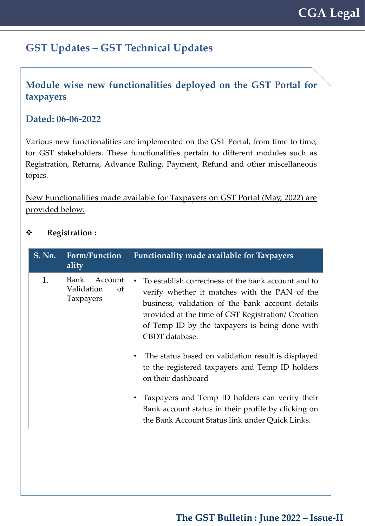#### **Module wise new functionalities deployed on the GST Portal for taxpayers**

#### **Dated: 06-06-2022**

Various new functionalities are implemented on the GST Portal, from time to time, for GST stakeholders. These functionalities pertain to different modules such as Registration, Returns, Advance Ruling, Payment, Refund and other miscellaneous topics.

New Functionalities made available for Taxpayers on GST Portal (May, 2022) are provided below:

#### **Registration :**

| S. No. | Form/Function<br>ality                           | <b>Functionality made available for Taxpayers</b>                                                                                                                                                                                                                                                                                                                                                                 |
|--------|--------------------------------------------------|-------------------------------------------------------------------------------------------------------------------------------------------------------------------------------------------------------------------------------------------------------------------------------------------------------------------------------------------------------------------------------------------------------------------|
| 1.     | Bank<br>Account<br>Validation<br>οf<br>Taxpayers | To establish correctness of the bank account and to<br>verify whether it matches with the PAN of the<br>business, validation of the bank account details<br>provided at the time of GST Registration/ Creation<br>of Temp ID by the taxpayers is being done with<br>CBDT database.<br>The status based on validation result is displayed<br>to the registered taxpayers and Temp ID holders<br>on their dashboard |
|        |                                                  | Taxpayers and Temp ID holders can verify their<br>Bank account status in their profile by clicking on<br>the Bank Account Status link under Quick Links.                                                                                                                                                                                                                                                          |
|        |                                                  |                                                                                                                                                                                                                                                                                                                                                                                                                   |

#### **The GST Bulletin : June 2022 – Issue-II**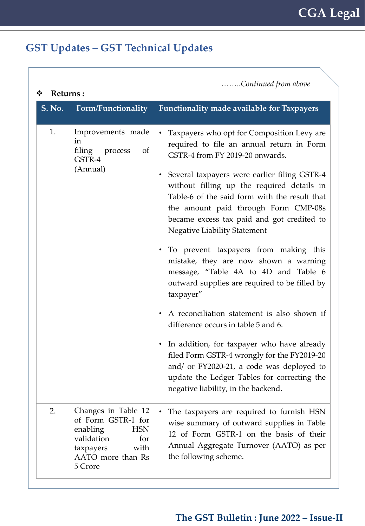| Returns:<br>❖ |                                                                                                                                               | Continued from above                                                                                                                                                                                                                                                                                                                                                                                                                                                                                                                                                                                                                                                                                                                                                                                                                                                                                                                  |
|---------------|-----------------------------------------------------------------------------------------------------------------------------------------------|---------------------------------------------------------------------------------------------------------------------------------------------------------------------------------------------------------------------------------------------------------------------------------------------------------------------------------------------------------------------------------------------------------------------------------------------------------------------------------------------------------------------------------------------------------------------------------------------------------------------------------------------------------------------------------------------------------------------------------------------------------------------------------------------------------------------------------------------------------------------------------------------------------------------------------------|
| <b>S. No.</b> | Form/Functionality                                                                                                                            | <b>Functionality made available for Taxpayers</b>                                                                                                                                                                                                                                                                                                                                                                                                                                                                                                                                                                                                                                                                                                                                                                                                                                                                                     |
| 1.            | Improvements made<br>in<br>filing process<br><sub>of</sub><br>GSTR-4<br>(Annual)                                                              | Taxpayers who opt for Composition Levy are<br>required to file an annual return in Form<br>GSTR-4 from FY 2019-20 onwards.<br>• Several taxpayers were earlier filing GSTR-4<br>without filling up the required details in<br>Table-6 of the said form with the result that<br>the amount paid through Form CMP-08s<br>became excess tax paid and got credited to<br><b>Negative Liability Statement</b><br>• To prevent taxpayers from making this<br>mistake, they are now shown a warning<br>message, "Table 4A to 4D and Table 6<br>outward supplies are required to be filled by<br>taxpayer"<br>A reconciliation statement is also shown if<br>difference occurs in table 5 and 6.<br>In addition, for taxpayer who have already<br>$\bullet$<br>filed Form GSTR-4 wrongly for the FY2019-20<br>and/ or FY2020-21, a code was deployed to<br>update the Ledger Tables for correcting the<br>negative liability, in the backend. |
| 2.            | Changes in Table 12<br>of Form GSTR-1 for<br>enabling<br><b>HSN</b><br>validation<br>for<br>with<br>taxpayers<br>AATO more than Rs<br>5 Crore | The taxpayers are required to furnish HSN<br>wise summary of outward supplies in Table<br>12 of Form GSTR-1 on the basis of their<br>Annual Aggregate Turnover (AATO) as per<br>the following scheme.                                                                                                                                                                                                                                                                                                                                                                                                                                                                                                                                                                                                                                                                                                                                 |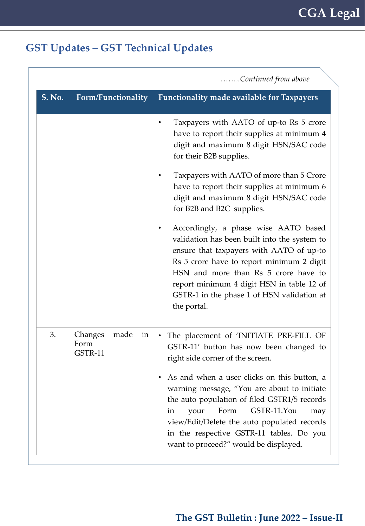|               |                                          | Continued from above                                                                                                                                                                                                                                                                                                            |
|---------------|------------------------------------------|---------------------------------------------------------------------------------------------------------------------------------------------------------------------------------------------------------------------------------------------------------------------------------------------------------------------------------|
| <b>S. No.</b> | <b>Form/Functionality</b>                | <b>Functionality made available for Taxpayers</b>                                                                                                                                                                                                                                                                               |
|               |                                          | Taxpayers with AATO of up-to Rs 5 crore<br>have to report their supplies at minimum 4<br>digit and maximum 8 digit HSN/SAC code<br>for their B2B supplies.                                                                                                                                                                      |
|               |                                          | Taxpayers with AATO of more than 5 Crore<br>have to report their supplies at minimum 6<br>digit and maximum 8 digit HSN/SAC code<br>for B2B and B2C supplies.                                                                                                                                                                   |
|               |                                          | Accordingly, a phase wise AATO based<br>validation has been built into the system to<br>ensure that taxpayers with AATO of up-to<br>Rs 5 crore have to report minimum 2 digit<br>HSN and more than Rs 5 crore have to<br>report minimum 4 digit HSN in table 12 of<br>GSTR-1 in the phase 1 of HSN validation at<br>the portal. |
| 3.            | Changes<br>made<br>in<br>Form<br>GSTR-11 | The placement of 'INITIATE PRE-FILL OF<br>GSTR-11' button has now been changed to<br>right side corner of the screen.<br>As and when a user clicks on this button, a<br>warning message, "You are about to initiate<br>the auto population of filed GSTR1/5 records<br>Form<br>GSTR-11.You<br>your<br>in<br>may                 |
|               |                                          | view/Edit/Delete the auto populated records<br>in the respective GSTR-11 tables. Do you<br>want to proceed?" would be displayed.                                                                                                                                                                                                |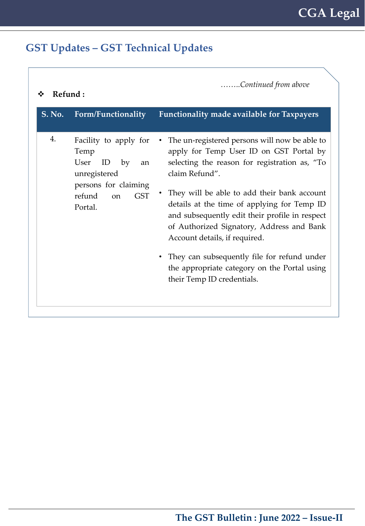| ❖      | Continued from above<br>Refund:                                                                                                                     |                                                                                                                                                                                                                                                                                                                                                                                                                                                                                                                             |  |  |
|--------|-----------------------------------------------------------------------------------------------------------------------------------------------------|-----------------------------------------------------------------------------------------------------------------------------------------------------------------------------------------------------------------------------------------------------------------------------------------------------------------------------------------------------------------------------------------------------------------------------------------------------------------------------------------------------------------------------|--|--|
| S. No. | Form/Functionality                                                                                                                                  | <b>Functionality made available for Taxpayers</b>                                                                                                                                                                                                                                                                                                                                                                                                                                                                           |  |  |
| 4.     | Facility to apply for<br>Temp<br>User<br>ID<br>by<br>an<br>unregistered<br>persons for claiming<br>refund<br><b>GST</b><br><sub>on</sub><br>Portal. | The un-registered persons will now be able to<br>apply for Temp User ID on GST Portal by<br>selecting the reason for registration as, "To<br>claim Refund".<br>They will be able to add their bank account<br>details at the time of applying for Temp ID<br>and subsequently edit their profile in respect<br>of Authorized Signatory, Address and Bank<br>Account details, if required.<br>They can subsequently file for refund under<br>٠<br>the appropriate category on the Portal using<br>their Temp ID credentials. |  |  |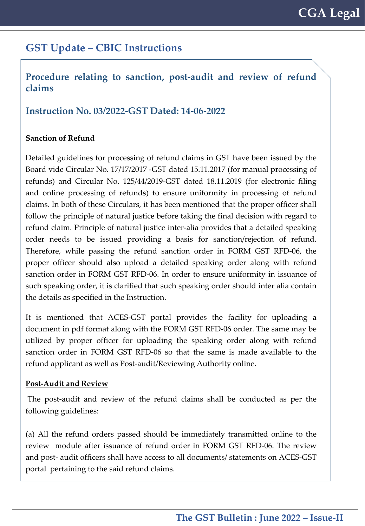## **GST Update – CBIC Instructions**

#### **Procedure relating to sanction, post-audit and review of refund claims**

#### **Instruction No. 03/2022-GST Dated: 14-06-2022**

#### **Sanction of Refund**

Detailed guidelines for processing of refund claims in GST have been issued by the Board vide Circular No. 17/17/2017 -GST dated 15.11.2017 (for manual processing of refunds) and Circular No. 125/44/2019-GST dated 18.11.2019 (for electronic filing and online processing of refunds) to ensure uniformity in processing of refund claims. In both of these Circulars, it has been mentioned that the proper officer shall follow the principle of natural justice before taking the final decision with regard to refund claim. Principle of natural justice inter-alia provides that a detailed speaking order needs to be issued providing a basis for sanction/rejection of refund. Therefore, while passing the refund sanction order in FORM GST RFD-06, the proper officer should also upload a detailed speaking order along with refund sanction order in FORM GST RFD-06. In order to ensure uniformity in issuance of such speaking order, it is clarified that such speaking order should inter alia contain the details as specified in the Instruction.

It is mentioned that ACES-GST portal provides the facility for uploading a document in pdf format along with the FORM GST RFD-06 order. The same may be utilized by proper officer for uploading the speaking order along with refund sanction order in FORM GST RFD-06 so that the same is made available to the refund applicant as well as Post-audit/Reviewing Authority online.

#### **Post-Audit and Review**

The post-audit and review of the refund claims shall be conducted as per the following guidelines:

(a) All the refund orders passed should be immediately transmitted online to the review module after issuance of refund order in FORM GST RFD-06. The review and post- audit officers shall have access to all documents/ statements on ACES-GST portal pertaining to the said refund claims.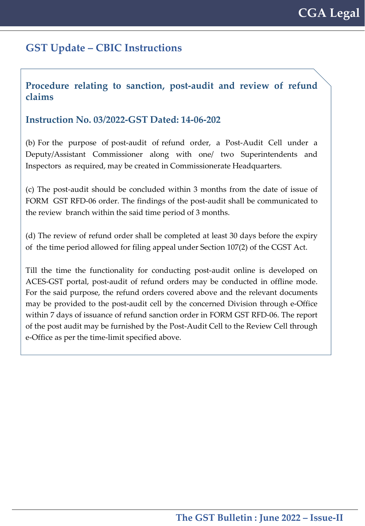## **GST Update – CBIC Instructions**

#### **Procedure relating to sanction, post-audit and review of refund claims**

#### **Instruction No. 03/2022-GST Dated: 14-06-202**

(b) For the purpose of post-audit of refund order, a Post-Audit Cell under a Deputy/Assistant Commissioner along with one/ two Superintendents and Inspectors as required, may be created in Commissionerate Headquarters.

(c) The post-audit should be concluded within 3 months from the date of issue of FORM GST RFD-06 order. The findings of the post-audit shall be communicated to the review branch within the said time period of 3 months.

(d) The review of refund order shall be completed at least 30 days before the expiry of the time period allowed for filing appeal under Section 107(2) of the CGST Act.

Till the time the functionality for conducting post-audit online is developed on ACES-GST portal, post-audit of refund orders may be conducted in offline mode. For the said purpose, the refund orders covered above and the relevant documents may be provided to the post-audit cell by the concerned Division through e-Office within 7 days of issuance of refund sanction order in FORM GST RFD-06. The report of the post audit may be furnished by the Post-Audit Cell to the Review Cell through e-Office as per the time-limit specified above.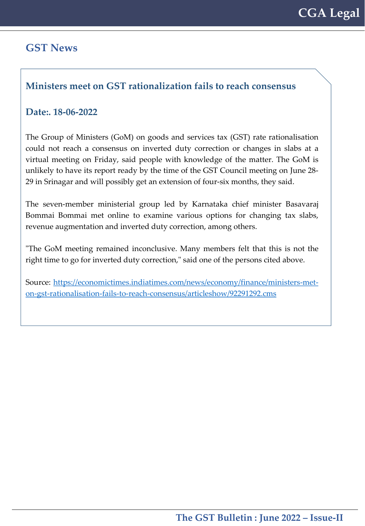#### **GST News**

#### **Ministers meet on GST rationalization fails to reach consensus**

#### **Date:. 18-06-2022**

The Group of Ministers (GoM) on goods and services tax (GST) rate rationalisation could not reach a consensus on inverted duty correction or changes in slabs at a virtual meeting on Friday, said people with knowledge of the matter. The GoM is unlikely to have its report ready by the time of the GST Council meeting on June 28- 29 in Srinagar and will possibly get an extension of four-six months, they said.

The seven-member ministerial group led by Karnataka chief minister Basavaraj Bommai Bommai met online to examine various options for changing tax slabs, revenue augmentation and inverted duty correction, among others.

"The GoM meeting remained inconclusive. Many members felt that this is not the right time to go for inverted duty correction," said one of the persons cited above.

Source: [https://economictimes.indiatimes.com/news/economy/finance/ministers-met](https://economictimes.indiatimes.com/news/economy/finance/ministers-met-on-gst-rationalisation-fails-to-reach-consensus/articleshow/92291292.cms)on-gst-rationalisation-fails-to-reach-consensus/articleshow/92291292.cms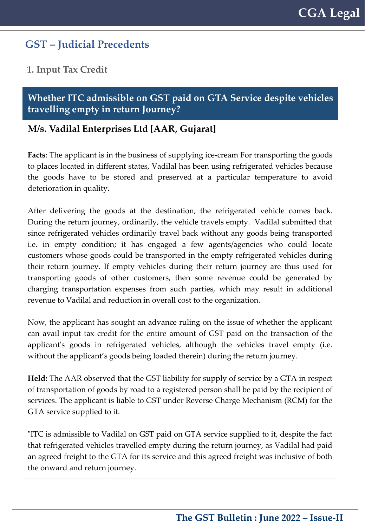**1. Input Tax Credit**

**Whether ITC admissible on GST paid on GTA Service despite vehicles travelling empty in return Journey?**

#### **M/s. Vadilal Enterprises Ltd [AAR, Gujarat]**

**Facts**: The applicant is in the business of supplying ice-cream For transporting the goods to places located in different states, Vadilal has been using refrigerated vehicles because the goods have to be stored and preserved at a particular temperature to avoid deterioration in quality.

After delivering the goods at the destination, the refrigerated vehicle comes back. During the return journey, ordinarily, the vehicle travels empty. Vadilal submitted that since refrigerated vehicles ordinarily travel back without any goods being transported i.e. in empty condition; it has engaged a few agents/agencies who could locate customers whose goods could be transported in the empty refrigerated vehicles during their return journey. If empty vehicles during their return journey are thus used for transporting goods of other customers, then some revenue could be generated by charging transportation expenses from such parties, which may result in additional revenue to Vadilal and reduction in overall cost to the organization.

Now, the applicant has sought an advance ruling on the issue of whether the applicant can avail input tax credit for the entire amount of GST paid on the transaction of the applicant's goods in refrigerated vehicles, although the vehicles travel empty (i.e. without the applicant's goods being loaded therein) during the return journey.

**Held:** The AAR observed that the GST liability for supply of service by a GTA in respect of transportation of goods by road to a registered person shall be paid by the recipient of services. The applicant is liable to GST under Reverse Charge Mechanism (RCM) for the GTA service supplied to it.

"ITC is admissible to Vadilal on GST paid on GTA service supplied to it, despite the fact that refrigerated vehicles travelled empty during the return journey, as Vadilal had paid an agreed freight to the GTA for its service and this agreed freight was inclusive of both the onward and return journey.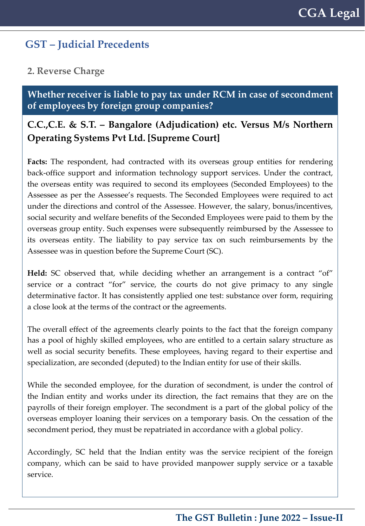#### **2. Reverse Charge**

**Whether receiver is liable to pay tax under RCM in case of secondment of employees by foreign group companies?**

## **C.C.,C.E. & S.T. – Bangalore (Adjudication) etc. Versus M/s Northern Operating Systems Pvt Ltd. [Supreme Court]**

**Facts:** The respondent, had contracted with its overseas group entities for rendering back-office support and information technology support services. Under the contract, the overseas entity was required to second its employees (Seconded Employees) to the Assessee as per the Assessee's requests. The Seconded Employees were required to act under the directions and control of the Assessee. However, the salary, bonus/incentives, social security and welfare benefits of the Seconded Employees were paid to them by the overseas group entity. Such expenses were subsequently reimbursed by the Assessee to its overseas entity. The liability to pay service tax on such reimbursements by the Assessee was in question before the Supreme Court (SC).

**Held:** SC observed that, while deciding whether an arrangement is a contract "of" service or a contract "for" service, the courts do not give primacy to any single determinative factor. It has consistently applied one test: substance over form, requiring a close look at the terms of the contract or the agreements.

The overall effect of the agreements clearly points to the fact that the foreign company has a pool of highly skilled employees, who are entitled to a certain salary structure as well as social security benefits. These employees, having regard to their expertise and specialization, are seconded (deputed) to the Indian entity for use of their skills.

While the seconded employee, for the duration of secondment, is under the control of the Indian entity and works under its direction, the fact remains that they are on the payrolls of their foreign employer. The secondment is a part of the global policy of the overseas employer loaning their services on a temporary basis. On the cessation of the secondment period, they must be repatriated in accordance with a global policy.

Accordingly, SC held that the Indian entity was the service recipient of the foreign company, which can be said to have provided manpower supply service or a taxable service.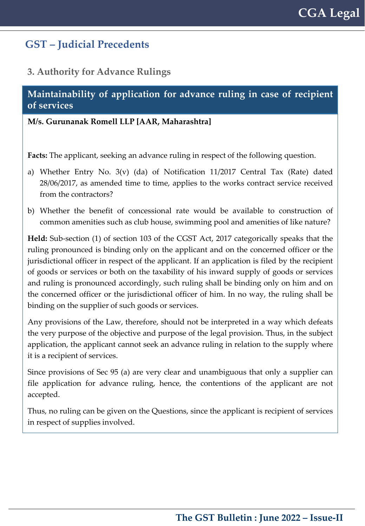#### **3. Authority for Advance Rulings**

#### **Maintainability of application for advance ruling in case of recipient of services**

#### **M/s. Gurunanak Romell LLP [AAR, Maharashtra]**

**Facts:** The applicant, seeking an advance ruling in respect of the following question.

- a) Whether Entry No. 3(v) (da) of Notification 11/2017 Central Tax (Rate) dated 28/06/2017, as amended time to time, applies to the works contract service received from the contractors?
- b) Whether the benefit of concessional rate would be available to construction of common amenities such as club house, swimming pool and amenities of like nature?

**Held:** Sub-section (1) of section 103 of the CGST Act, 2017 categorically speaks that the ruling pronounced is binding only on the applicant and on the concerned officer or the jurisdictional officer in respect of the applicant. If an application is filed by the recipient of goods or services or both on the taxability of his inward supply of goods or services and ruling is pronounced accordingly, such ruling shall be binding only on him and on the concerned officer or the jurisdictional officer of him. In no way, the ruling shall be binding on the supplier of such goods or services.

Any provisions of the Law, therefore, should not be interpreted in a way which defeats the very purpose of the objective and purpose of the legal provision. Thus, in the subject application, the applicant cannot seek an advance ruling in relation to the supply where it is a recipient of services.

Since provisions of Sec 95 (a) are very clear and unambiguous that only a supplier can file application for advance ruling, hence, the contentions of the applicant are not accepted.

Thus, no ruling can be given on the Questions, since the applicant is recipient of services in respect of supplies involved.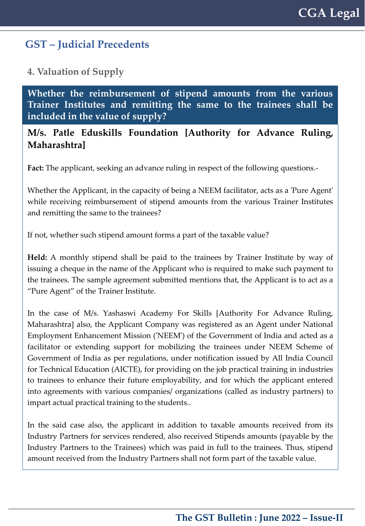**4. Valuation of Supply**

**Whether the reimbursement of stipend amounts from the various Trainer Institutes and remitting the same to the trainees shall be included in the value of supply?**

#### **M/s. Patle Eduskills Foundation [Authority for Advance Ruling, Maharashtra]**

**Fact:** The applicant, seeking an advance ruling in respect of the following questions.-

Whether the Applicant, in the capacity of being a NEEM facilitator, acts as a 'Pure Agent' while receiving reimbursement of stipend amounts from the various Trainer Institutes and remitting the same to the trainees?

If not, whether such stipend amount forms a part of the taxable value?

**Held:** A monthly stipend shall be paid to the trainees by Trainer Institute by way of issuing a cheque in the name of the Applicant who is required to make such payment to the trainees. The sample agreement submitted mentions that, the Applicant is to act as a "Pure Agent" of the Trainer Institute.

In the case of M/s. Yashaswi Academy For Skills [Authority For Advance Ruling, Maharashtra] also, the Applicant Company was registered as an Agent under National Employment Enhancement Mission ('NEEM') of the Government of India and acted as a facilitator or extending support for mobilizing the trainees under NEEM Scheme of Government of India as per regulations, under notification issued by All India Council for Technical Education (AICTE), for providing on the job practical training in industries to trainees to enhance their future employability, and for which the applicant entered into agreements with various companies/ organizations (called as industry partners) to impart actual practical training to the students..

In the said case also, the applicant in addition to taxable amounts received from its Industry Partners for services rendered, also received Stipends amounts (payable by the Industry Partners to the Trainees) which was paid in full to the trainees. Thus, stipend amount received from the Industry Partners shall not form part of the taxable value.